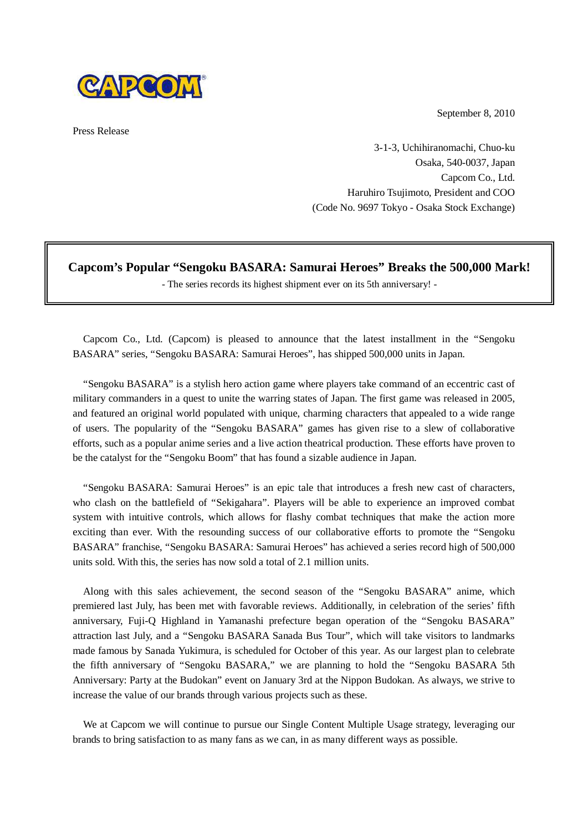September 8, 2010



Press Release

3-1-3, Uchihiranomachi, Chuo-ku Osaka, 540-0037, Japan Capcom Co., Ltd. Haruhiro Tsujimoto, President and COO (Code No. 9697 Tokyo - Osaka Stock Exchange)

## **Capcom's Popular "Sengoku BASARA: Samurai Heroes" Breaks the 500,000 Mark!**

- The series records its highest shipment ever on its 5th anniversary! -

Capcom Co., Ltd. (Capcom) is pleased to announce that the latest installment in the "Sengoku BASARA" series, "Sengoku BASARA: Samurai Heroes", has shipped 500,000 units in Japan.

"Sengoku BASARA" is a stylish hero action game where players take command of an eccentric cast of military commanders in a quest to unite the warring states of Japan. The first game was released in 2005, and featured an original world populated with unique, charming characters that appealed to a wide range of users. The popularity of the "Sengoku BASARA" games has given rise to a slew of collaborative efforts, such as a popular anime series and a live action theatrical production. These efforts have proven to be the catalyst for the "Sengoku Boom" that has found a sizable audience in Japan.

"Sengoku BASARA: Samurai Heroes" is an epic tale that introduces a fresh new cast of characters, who clash on the battlefield of "Sekigahara". Players will be able to experience an improved combat system with intuitive controls, which allows for flashy combat techniques that make the action more exciting than ever. With the resounding success of our collaborative efforts to promote the "Sengoku BASARA" franchise, "Sengoku BASARA: Samurai Heroes" has achieved a series record high of 500,000 units sold. With this, the series has now sold a total of 2.1 million units.

Along with this sales achievement, the second season of the "Sengoku BASARA" anime, which premiered last July, has been met with favorable reviews. Additionally, in celebration of the series' fifth anniversary, Fuji-Q Highland in Yamanashi prefecture began operation of the "Sengoku BASARA" attraction last July, and a "Sengoku BASARA Sanada Bus Tour", which will take visitors to landmarks made famous by Sanada Yukimura, is scheduled for October of this year. As our largest plan to celebrate the fifth anniversary of "Sengoku BASARA," we are planning to hold the "Sengoku BASARA 5th Anniversary: Party at the Budokan" event on January 3rd at the Nippon Budokan. As always, we strive to increase the value of our brands through various projects such as these.

We at Capcom we will continue to pursue our Single Content Multiple Usage strategy, leveraging our brands to bring satisfaction to as many fans as we can, in as many different ways as possible.